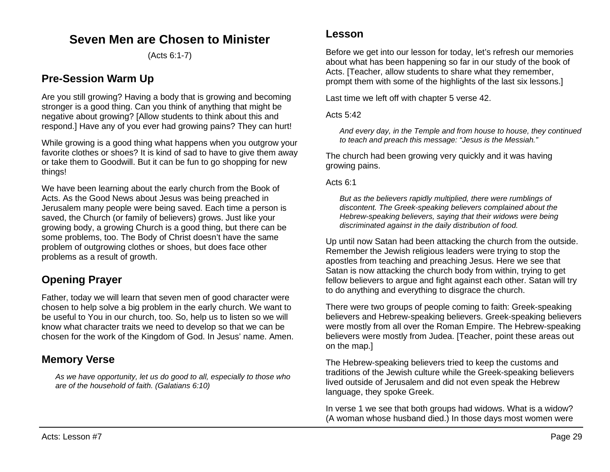# **Seven Men are Chosen to Minister**

(Acts 6:1-7)

### **Pre-Session Warm Up**

Are you still growing? Having a body that is growing and becoming stronger is a good thing. Can you think of anything that might be negative about growing? [Allow students to think about this and respond.] Have any of you ever had growing pains? They can hurt!

While growing is a good thing what happens when you outgrow your favorite clothes or shoes? It is kind of sad to have to give them away or take them to Goodwill. But it can be fun to go shopping for new things!

We have been learning about the early church from the Book of Acts. As the Good News about Jesus was being preached in Jerusalem many people were being saved. Each time a person is saved, the Church (or family of believers) grows. Just like your growing body, a growing Church is a good thing, but there can be some problems, too. The Body of Christ doesn't have the same problem of outgrowing clothes or shoes, but does face other problems as a result of growth.

# **Opening Prayer**

Father, today we will learn that seven men of good character were chosen to help solve a big problem in the early church. We want to be useful to You in our church, too. So, help us to listen so we will know what character traits we need to develop so that we can be chosen for the work of the Kingdom of God. In Jesus' name. Amen.

# **Memory Verse**

*As we have opportunity, let us do good to all, especially to those who are of the household of faith. (Galatians 6:10)*

### **Lesson**

Before we get into our lesson for today, let's refresh our memories about what has been happening so far in our study of the book of Acts. [Teacher, allow students to share what they remember, prompt them with some of the highlights of the last six lessons.]

Last time we left off with chapter 5 verse 42.

Acts 5:42

*And every day, in the Temple and from house to house, they continued to teach and preach this message: "Jesus is the Messiah."*

The church had been growing very quickly and it was having growing pains.

Acts 6:1

*But as the believers rapidly multiplied, there were rumblings of discontent. The Greek-speaking believers complained about the Hebrew-speaking believers, saying that their widows were being discriminated against in the daily distribution of food.*

Up until now Satan had been attacking the church from the outside. Remember the Jewish religious leaders were trying to stop the apostles from teaching and preaching Jesus. Here we see that Satan is now attacking the church body from within, trying to get fellow believers to argue and fight against each other. Satan will try to do anything and everything to disgrace the church.

There were two groups of people coming to faith: Greek-speaking believers and Hebrew-speaking believers. Greek-speaking believers were mostly from all over the Roman Empire. The Hebrew-speaking believers were mostly from Judea. [Teacher, point these areas out on the map.]

The Hebrew-speaking believers tried to keep the customs and traditions of the Jewish culture while the Greek-speaking believers lived outside of Jerusalem and did not even speak the Hebrew language, they spoke Greek.

In verse 1 we see that both groups had widows. What is a widow? (A woman whose husband died.) In those days most women were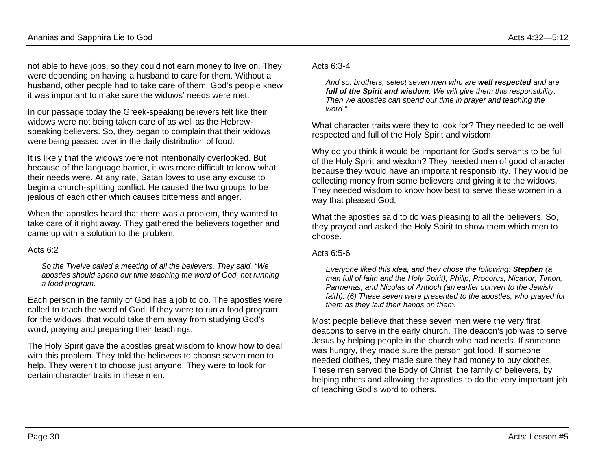not able to have jobs, so they could not earn money to live on. They were depending on having a husband to care for them. Without a husband, other people had to take care of them. God's people knew it was important to make sure the widows' needs were met.

In our passage today the Greek-speaking believers felt like their widows were not being taken care of as well as the Hebrewspeaking believers. So, they began to complain that their widows were being passed over in the daily distribution of food.

It is likely that the widows were not intentionally overlooked. But because of the language barrier, it was more difficult to know what their needs were. At any rate, Satan loves to use any excuse to begin a church-splitting conflict. He caused the two groups to be jealous of each other which causes bitterness and anger.

When the apostles heard that there was a problem, they wanted to take care of it right away. They gathered the believers together and came up with a solution to the problem.

#### Acts  $6.2$

*So the Twelve called a meeting of all the believers. They said, "We apostles should spend our time teaching the word of God, not running a food program.*

Each person in the family of God has a job to do. The apostles were called to teach the word of God. If they were to run a food program for the widows, that would take them away from studying God's word, praying and preparing their teachings.

The Holy Spirit gave the apostles great wisdom to know how to deal with this problem. They told the believers to choose seven men to help. They weren't to choose just anyone. They were to look for certain character traits in these men.

Acts  $6:3-4$ 

*And so, brothers, select seven men who are well respected and are full of the Spirit and wisdom. We will give them this responsibility. Then we apostles can spend our time in prayer and teaching the word."*

What character traits were they to look for? They needed to be well respected and full of the Holy Spirit and wisdom.

Why do you think it would be important for God's servants to be full of the Holy Spirit and wisdom? They needed men of good character because they would have an important responsibility. They would be collecting money from some believers and giving it to the widows. They needed wisdom to know how best to serve these women in a way that pleased God.

What the apostles said to do was pleasing to all the believers. So, they prayed and asked the Holy Spirit to show them which men to choose.

### Acts 6:5-6

*Everyone liked this idea, and they chose the following: Stephen (a man full of faith and the Holy Spirit), Philip, Procorus, Nicanor, Timon, Parmenas, and Nicolas of Antioch (an earlier convert to the Jewish faith). (6) These seven were presented to the apostles, who prayed for them as they laid their hands on them.*

Most people believe that these seven men were the very first deacons to serve in the early church. The deacon's job was to serve Jesus by helping people in the church who had needs. If someone was hungry, they made sure the person got food. If someone needed clothes, they made sure they had money to buy clothes. These men served the Body of Christ, the family of believers, by helping others and allowing the apostles to do the very important job of teaching God's word to others.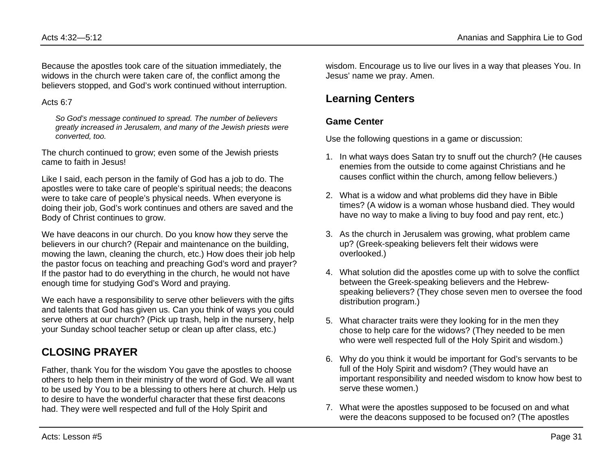Because the apostles took care of the situation immediately, the widows in the church were taken care of, the conflict among the believers stopped, and God's work continued without interruption.

#### Acts 6:7

*So God's message continued to spread. The number of believers greatly increased in Jerusalem, and many of the Jewish priests were converted, too.*

The church continued to grow; even some of the Jewish priests came to faith in Jesus!

Like I said, each person in the family of God has a job to do. The apostles were to take care of people's spiritual needs; the deacons were to take care of people's physical needs. When everyone is doing their job, God's work continues and others are saved and the Body of Christ continues to grow.

We have deacons in our church. Do you know how they serve the believers in our church? (Repair and maintenance on the building, mowing the lawn, cleaning the church, etc.) How does their job help the pastor focus on teaching and preaching God's word and prayer? If the pastor had to do everything in the church, he would not have enough time for studying God's Word and praying.

We each have a responsibility to serve other believers with the gifts and talents that God has given us. Can you think of ways you could serve others at our church? (Pick up trash, help in the nursery, help your Sunday school teacher setup or clean up after class, etc.)

# **CLOSING PRAYER**

Father, thank You for the wisdom You gave the apostles to choose others to help them in their ministry of the word of God. We all want to be used by You to be a blessing to others here at church. Help us to desire to have the wonderful character that these first deacons had. They were well respected and full of the Holy Spirit and

wisdom. Encourage us to live our lives in a way that pleases You. In Jesus' name we pray. Amen.

# **Learning Centers**

### **Game Center**

Use the following questions in a game or discussion:

- 1. In what ways does Satan try to snuff out the church? (He causes enemies from the outside to come against Christians and he causes conflict within the church, among fellow believers.)
- 2. What is a widow and what problems did they have in Bible times? (A widow is a woman whose husband died. They would have no way to make a living to buy food and pay rent, etc.)
- 3. As the church in Jerusalem was growing, what problem came up? (Greek-speaking believers felt their widows were overlooked.)
- 4. What solution did the apostles come up with to solve the conflict between the Greek-speaking believers and the Hebrewspeaking believers? (They chose seven men to oversee the food distribution program.)
- 5. What character traits were they looking for in the men they chose to help care for the widows? (They needed to be men who were well respected full of the Holy Spirit and wisdom.)
- 6. Why do you think it would be important for God's servants to be full of the Holy Spirit and wisdom? (They would have an important responsibility and needed wisdom to know how best to serve these women.)
- 7. What were the apostles supposed to be focused on and what were the deacons supposed to be focused on? (The apostles